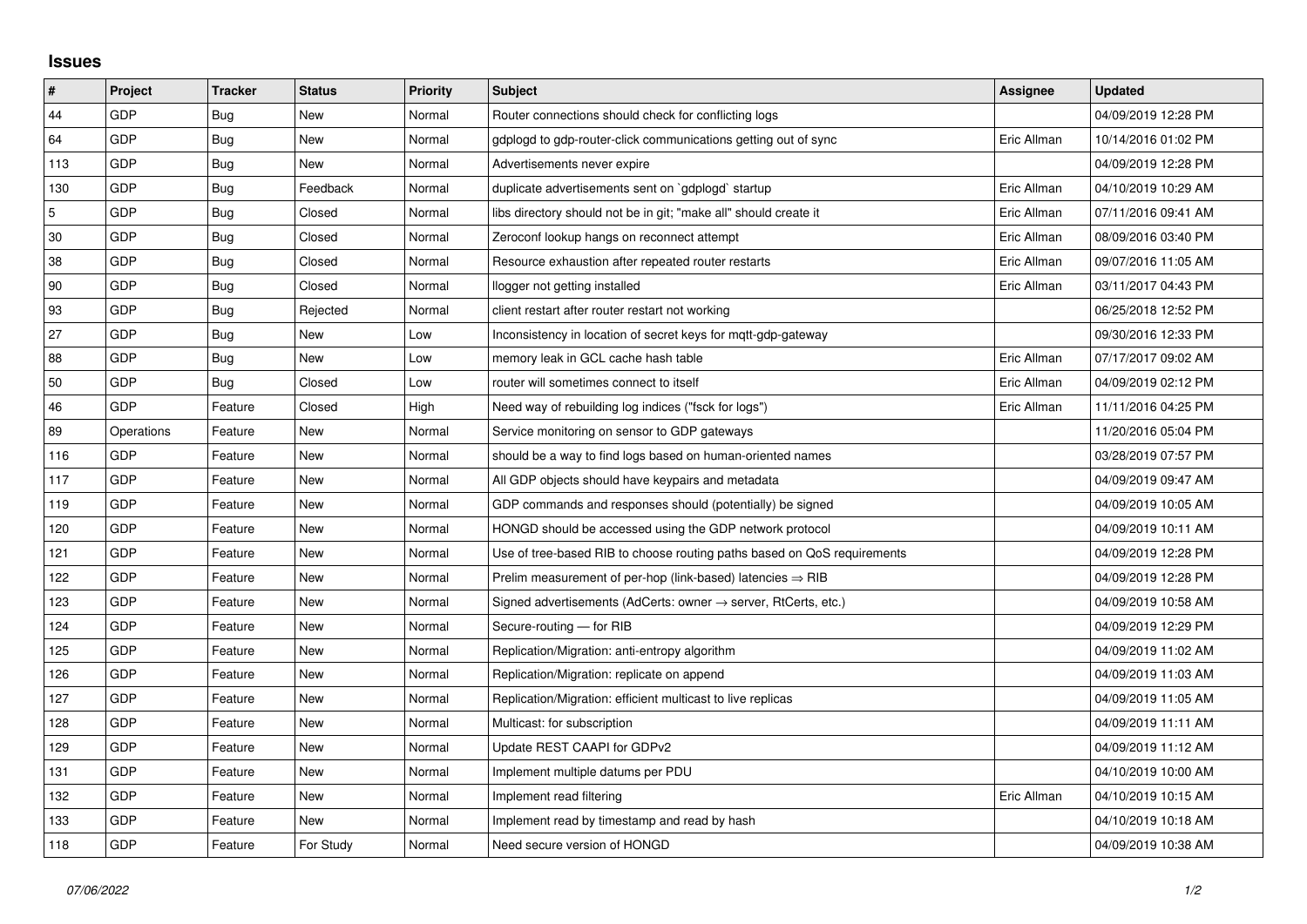## **Issues**

| #           | Project    | <b>Tracker</b> | <b>Status</b> | <b>Priority</b> | <b>Subject</b>                                                             | Assignee    | <b>Updated</b>      |
|-------------|------------|----------------|---------------|-----------------|----------------------------------------------------------------------------|-------------|---------------------|
| 44          | GDP        | Bug            | <b>New</b>    | Normal          | Router connections should check for conflicting logs                       |             | 04/09/2019 12:28 PM |
| 64          | GDP        | Bug            | New           | Normal          | gdplogd to gdp-router-click communications getting out of sync             | Eric Allman | 10/14/2016 01:02 PM |
| 113         | GDP        | Bug            | New           | Normal          | Advertisements never expire                                                |             | 04/09/2019 12:28 PM |
| 130         | GDP        | <b>Bug</b>     | Feedback      | Normal          | duplicate advertisements sent on `gdplogd` startup                         | Eric Allman | 04/10/2019 10:29 AM |
| $\mathbf 5$ | GDP        | Bug            | Closed        | Normal          | libs directory should not be in git; "make all" should create it           | Eric Allman | 07/11/2016 09:41 AM |
| 30          | GDP        | <b>Bug</b>     | Closed        | Normal          | Zeroconf lookup hangs on reconnect attempt                                 | Eric Allman | 08/09/2016 03:40 PM |
| 38          | GDP        | <b>Bug</b>     | Closed        | Normal          | Resource exhaustion after repeated router restarts                         | Eric Allman | 09/07/2016 11:05 AM |
| 90          | GDP        | <b>Bug</b>     | Closed        | Normal          | llogger not getting installed                                              | Eric Allman | 03/11/2017 04:43 PM |
| 93          | GDP        | <b>Bug</b>     | Rejected      | Normal          | client restart after router restart not working                            |             | 06/25/2018 12:52 PM |
| 27          | GDP        | Bug            | New           | Low             | Inconsistency in location of secret keys for mqtt-gdp-gateway              |             | 09/30/2016 12:33 PM |
| 88          | GDP        | Bug            | New           | Low             | memory leak in GCL cache hash table                                        | Eric Allman | 07/17/2017 09:02 AM |
| 50          | GDP        | Bug            | Closed        | Low             | router will sometimes connect to itself                                    | Eric Allman | 04/09/2019 02:12 PM |
| 46          | GDP        | Feature        | Closed        | High            | Need way of rebuilding log indices ("fsck for logs")                       | Eric Allman | 11/11/2016 04:25 PM |
| 89          | Operations | Feature        | New           | Normal          | Service monitoring on sensor to GDP gateways                               |             | 11/20/2016 05:04 PM |
| 116         | GDP        | Feature        | <b>New</b>    | Normal          | should be a way to find logs based on human-oriented names                 |             | 03/28/2019 07:57 PM |
| 117         | GDP        | Feature        | New           | Normal          | All GDP objects should have keypairs and metadata                          |             | 04/09/2019 09:47 AM |
| 119         | GDP        | Feature        | New           | Normal          | GDP commands and responses should (potentially) be signed                  |             | 04/09/2019 10:05 AM |
| 120         | GDP        | Feature        | New           | Normal          | HONGD should be accessed using the GDP network protocol                    |             | 04/09/2019 10:11 AM |
| 121         | GDP        | Feature        | New           | Normal          | Use of tree-based RIB to choose routing paths based on QoS requirements    |             | 04/09/2019 12:28 PM |
| 122         | GDP        | Feature        | New           | Normal          | Prelim measurement of per-hop (link-based) latencies $\Rightarrow$ RIB     |             | 04/09/2019 12:28 PM |
| 123         | GDP        | Feature        | New           | Normal          | Signed advertisements (AdCerts: owner $\rightarrow$ server, RtCerts, etc.) |             | 04/09/2019 10:58 AM |
| 124         | GDP        | Feature        | New           | Normal          | Secure-routing - for RIB                                                   |             | 04/09/2019 12:29 PM |
| 125         | GDP        | Feature        | <b>New</b>    | Normal          | Replication/Migration: anti-entropy algorithm                              |             | 04/09/2019 11:02 AM |
| 126         | GDP        | Feature        | New           | Normal          | Replication/Migration: replicate on append                                 |             | 04/09/2019 11:03 AM |
| 127         | GDP        | Feature        | New           | Normal          | Replication/Migration: efficient multicast to live replicas                |             | 04/09/2019 11:05 AM |
| 128         | GDP        | Feature        | New           | Normal          | Multicast: for subscription                                                |             | 04/09/2019 11:11 AM |
| 129         | GDP        | Feature        | New           | Normal          | Update REST CAAPI for GDPv2                                                |             | 04/09/2019 11:12 AM |
| 131         | GDP        | Feature        | New           | Normal          | Implement multiple datums per PDU                                          |             | 04/10/2019 10:00 AM |
| 132         | GDP        | Feature        | New           | Normal          | Implement read filtering                                                   | Eric Allman | 04/10/2019 10:15 AM |
| 133         | GDP        | Feature        | New           | Normal          | Implement read by timestamp and read by hash                               |             | 04/10/2019 10:18 AM |
| 118         | GDP        | Feature        | For Study     | Normal          | Need secure version of HONGD                                               |             | 04/09/2019 10:38 AM |